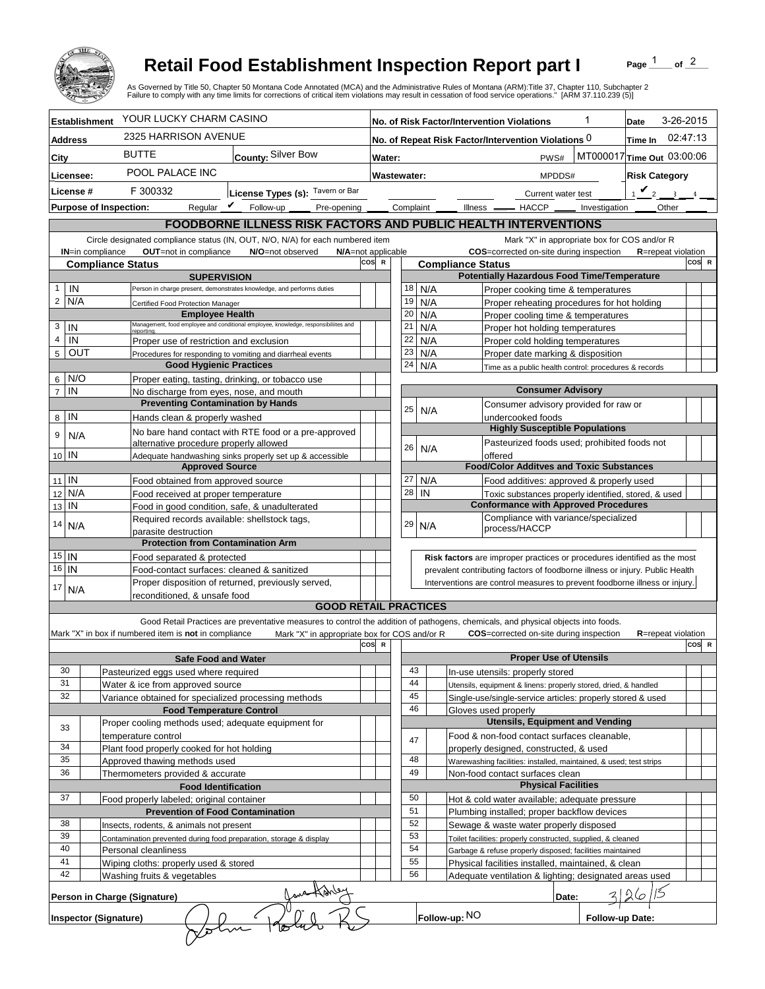

## **Retail Food Establishment Inspection Report part I**

Page  $\frac{1}{1}$  of  $\frac{2}{1}$ 

|                       |                                                                   |                                                                                            | <b>Retail Food Establishment Inspection Report part I</b><br>As Governed by Title 50, Chapter 50 Montana Code Annotated (MCA) and the Administrative Rules of Montana (ARM):Title 37, Chapter 110, Subchapter 2<br>Failure to comply with any time limits for corrections of critical item violations may result in cessation of food service operations." [ARM 37.110.239 (5)] |                                                                                                                                 |                                                                              |                                                        | Page                                                                                                | of $^2$                                      |                            |          |  |
|-----------------------|-------------------------------------------------------------------|--------------------------------------------------------------------------------------------|---------------------------------------------------------------------------------------------------------------------------------------------------------------------------------------------------------------------------------------------------------------------------------------------------------------------------------------------------------------------------------|---------------------------------------------------------------------------------------------------------------------------------|------------------------------------------------------------------------------|--------------------------------------------------------|-----------------------------------------------------------------------------------------------------|----------------------------------------------|----------------------------|----------|--|
| <b>Establishment</b>  |                                                                   | YOUR LUCKY CHARM CASINO                                                                    | No. of Risk Factor/Intervention Violations                                                                                                                                                                                                                                                                                                                                      |                                                                                                                                 |                                                                              |                                                        | Date                                                                                                | 3-26-2015                                    |                            |          |  |
| Address               |                                                                   | 2325 HARRISON AVENUE                                                                       |                                                                                                                                                                                                                                                                                                                                                                                 | No. of Repeat Risk Factor/Intervention Violations 0                                                                             |                                                                              |                                                        |                                                                                                     |                                              | Time In                    | 02:47:13 |  |
| City                  |                                                                   | <b>BUTTE</b>                                                                               | County: Silver Bow                                                                                                                                                                                                                                                                                                                                                              | Water:                                                                                                                          |                                                                              |                                                        | PWS#                                                                                                |                                              | MT000017 Time Out 03:00:06 |          |  |
| Licensee:             |                                                                   | POOL PALACE INC                                                                            |                                                                                                                                                                                                                                                                                                                                                                                 | Wastewater:                                                                                                                     |                                                                              |                                                        | <b>Risk Category</b><br>MPDDS#                                                                      |                                              |                            |          |  |
| License #             |                                                                   | F 300332                                                                                   |                                                                                                                                                                                                                                                                                                                                                                                 |                                                                                                                                 |                                                                              |                                                        |                                                                                                     |                                              | $\mathbf{v}_2$             |          |  |
|                       |                                                                   | Regular $\boldsymbol{V}$                                                                   | License Types (s): Tavern or Bar<br>Follow-up                                                                                                                                                                                                                                                                                                                                   | Complaint                                                                                                                       |                                                                              |                                                        | Current water test<br>$Ilness$ $-$<br>$-$ HACCP $\_\_$                                              |                                              | Other                      |          |  |
|                       | <b>Purpose of Inspection:</b>                                     |                                                                                            | Pre-opening                                                                                                                                                                                                                                                                                                                                                                     |                                                                                                                                 |                                                                              |                                                        |                                                                                                     | Investigation                                |                            |          |  |
|                       |                                                                   |                                                                                            | FOODBORNE ILLNESS RISK FACTORS AND PUBLIC HEALTH INTERVENTIONS                                                                                                                                                                                                                                                                                                                  |                                                                                                                                 |                                                                              |                                                        |                                                                                                     |                                              |                            |          |  |
|                       | <b>IN=in compliance</b>                                           | OUT=not in compliance                                                                      | Circle designated compliance status (IN, OUT, N/O, N/A) for each numbered item<br>N/O=not observed                                                                                                                                                                                                                                                                              | N/A=not applicable                                                                                                              |                                                                              |                                                        | COS=corrected on-site during inspection                                                             | Mark "X" in appropriate box for COS and/or R | <b>R</b> =repeat violation |          |  |
|                       | <b>Compliance Status</b>                                          |                                                                                            |                                                                                                                                                                                                                                                                                                                                                                                 | cos<br>$\mathbb{R}$                                                                                                             |                                                                              | <b>Compliance Status</b>                               |                                                                                                     |                                              |                            | COS R    |  |
|                       |                                                                   | <b>SUPERVISION</b>                                                                         |                                                                                                                                                                                                                                                                                                                                                                                 |                                                                                                                                 |                                                                              |                                                        | <b>Potentially Hazardous Food Time/Temperature</b>                                                  |                                              |                            |          |  |
| $\mathbf{1}$<br>IN    |                                                                   | Person in charge present, demonstrates knowledge, and performs duties                      | 18                                                                                                                                                                                                                                                                                                                                                                              |                                                                                                                                 | N/A                                                                          |                                                        | Proper cooking time & temperatures                                                                  |                                              |                            |          |  |
| $\overline{2}$<br>N/A |                                                                   | Certified Food Protection Manager<br><b>Employee Health</b>                                | 19<br>20                                                                                                                                                                                                                                                                                                                                                                        |                                                                                                                                 | N/A                                                                          | Proper reheating procedures for hot holding            |                                                                                                     |                                              |                            |          |  |
| 3                     | IN                                                                |                                                                                            | Management, food employee and conditional employee, knowledge, responsibiliites and                                                                                                                                                                                                                                                                                             | 21                                                                                                                              |                                                                              | N/A<br>N/A                                             | Proper cooling time & temperatures<br>Proper hot holding temperatures                               |                                              |                            |          |  |
| $\overline{4}$        | IN                                                                | reporting<br>Proper use of restriction and exclusion                                       |                                                                                                                                                                                                                                                                                                                                                                                 | 22                                                                                                                              |                                                                              | N/A                                                    | Proper cold holding temperatures                                                                    |                                              |                            |          |  |
| $5\phantom{.0}$       | OUT<br>Procedures for responding to vomiting and diarrheal events |                                                                                            |                                                                                                                                                                                                                                                                                                                                                                                 | 23                                                                                                                              |                                                                              | N/A                                                    |                                                                                                     | Proper date marking & disposition            |                            |          |  |
|                       |                                                                   |                                                                                            | <b>Good Hygienic Practices</b>                                                                                                                                                                                                                                                                                                                                                  |                                                                                                                                 |                                                                              | N/A                                                    | Time as a public health control: procedures & records                                               |                                              |                            |          |  |
| 6                     | N/O                                                               | Proper eating, tasting, drinking, or tobacco use                                           |                                                                                                                                                                                                                                                                                                                                                                                 |                                                                                                                                 |                                                                              |                                                        |                                                                                                     |                                              |                            |          |  |
| $\overline{7}$        | IN                                                                | No discharge from eyes, nose, and mouth                                                    |                                                                                                                                                                                                                                                                                                                                                                                 |                                                                                                                                 |                                                                              |                                                        |                                                                                                     | <b>Consumer Advisory</b>                     |                            |          |  |
|                       | IN                                                                | <b>Preventing Contamination by Hands</b>                                                   |                                                                                                                                                                                                                                                                                                                                                                                 | 25                                                                                                                              |                                                                              | N/A                                                    | Consumer advisory provided for raw or                                                               |                                              |                            |          |  |
| 8                     |                                                                   | Hands clean & properly washed                                                              |                                                                                                                                                                                                                                                                                                                                                                                 |                                                                                                                                 |                                                                              |                                                        | undercooked foods                                                                                   | <b>Highly Susceptible Populations</b>        |                            |          |  |
| 9                     | N/A                                                               | alternative procedure properly allowed                                                     | No bare hand contact with RTE food or a pre-approved                                                                                                                                                                                                                                                                                                                            | 26                                                                                                                              |                                                                              |                                                        | Pasteurized foods used; prohibited foods not                                                        |                                              |                            |          |  |
|                       | 10 IN                                                             |                                                                                            | Adequate handwashing sinks properly set up & accessible                                                                                                                                                                                                                                                                                                                         |                                                                                                                                 |                                                                              | N/A                                                    | offered                                                                                             |                                              |                            |          |  |
|                       |                                                                   | <b>Approved Source</b>                                                                     |                                                                                                                                                                                                                                                                                                                                                                                 |                                                                                                                                 |                                                                              |                                                        | <b>Food/Color Additves and Toxic Substances</b>                                                     |                                              |                            |          |  |
|                       | $11$ IN                                                           | Food obtained from approved source                                                         |                                                                                                                                                                                                                                                                                                                                                                                 | 27<br>28                                                                                                                        |                                                                              | N/A                                                    | Food additives: approved & properly used                                                            |                                              |                            |          |  |
| N/A<br>12             |                                                                   |                                                                                            | Food received at proper temperature                                                                                                                                                                                                                                                                                                                                             |                                                                                                                                 |                                                                              | IN                                                     | Toxic substances properly identified, stored, & used<br><b>Conformance with Approved Procedures</b> |                                              |                            |          |  |
| IN<br>13              |                                                                   | Food in good condition, safe, & unadulterated                                              |                                                                                                                                                                                                                                                                                                                                                                                 |                                                                                                                                 |                                                                              |                                                        |                                                                                                     |                                              |                            |          |  |
| 14<br>N/A             |                                                                   | Required records available: shellstock tags,                                               | 29                                                                                                                                                                                                                                                                                                                                                                              |                                                                                                                                 | N/A                                                                          | Compliance with variance/specialized<br>process/HACCP  |                                                                                                     |                                              |                            |          |  |
|                       |                                                                   | parasite destruction<br><b>Protection from Contamination Arm</b>                           |                                                                                                                                                                                                                                                                                                                                                                                 |                                                                                                                                 |                                                                              |                                                        |                                                                                                     |                                              |                            |          |  |
|                       | $15$ IN                                                           | Food separated & protected                                                                 |                                                                                                                                                                                                                                                                                                                                                                                 |                                                                                                                                 |                                                                              |                                                        | Risk factors are improper practices or procedures identified as the most                            |                                              |                            |          |  |
| 16                    | IN                                                                | Food-contact surfaces: cleaned & sanitized                                                 |                                                                                                                                                                                                                                                                                                                                                                                 |                                                                                                                                 | prevalent contributing factors of foodborne illness or injury. Public Health |                                                        |                                                                                                     |                                              |                            |          |  |
| 17                    |                                                                   |                                                                                            | Proper disposition of returned, previously served,                                                                                                                                                                                                                                                                                                                              |                                                                                                                                 | Interventions are control measures to prevent foodborne illness or injury.   |                                                        |                                                                                                     |                                              |                            |          |  |
|                       | N/A                                                               | reconditioned, & unsafe food                                                               |                                                                                                                                                                                                                                                                                                                                                                                 |                                                                                                                                 |                                                                              |                                                        |                                                                                                     |                                              |                            |          |  |
|                       |                                                                   |                                                                                            | <b>GOOD RETAIL PRACTICES</b>                                                                                                                                                                                                                                                                                                                                                    |                                                                                                                                 |                                                                              |                                                        |                                                                                                     |                                              |                            |          |  |
|                       |                                                                   |                                                                                            | Good Retail Practices are preventative measures to control the addition of pathogens, chemicals, and physical objects into foods.                                                                                                                                                                                                                                               |                                                                                                                                 |                                                                              |                                                        |                                                                                                     |                                              |                            |          |  |
|                       |                                                                   | Mark "X" in box if numbered item is not in compliance                                      | Mark "X" in appropriate box for COS and/or R                                                                                                                                                                                                                                                                                                                                    | cos<br>$\mathbf R$                                                                                                              |                                                                              |                                                        | <b>COS</b> =corrected on-site during inspection                                                     |                                              | <b>R</b> =repeat violation | COS R    |  |
|                       |                                                                   | <b>Safe Food and Water</b>                                                                 |                                                                                                                                                                                                                                                                                                                                                                                 |                                                                                                                                 |                                                                              |                                                        |                                                                                                     | <b>Proper Use of Utensils</b>                |                            |          |  |
|                       | 30                                                                | Pasteurized eggs used where required                                                       |                                                                                                                                                                                                                                                                                                                                                                                 |                                                                                                                                 | 43                                                                           |                                                        | In-use utensils: properly stored                                                                    |                                              |                            |          |  |
|                       | 31                                                                | Water & ice from approved source                                                           |                                                                                                                                                                                                                                                                                                                                                                                 |                                                                                                                                 | 44                                                                           |                                                        | Utensils, equipment & linens: properly stored, dried, & handled                                     |                                              |                            |          |  |
|                       | 32                                                                | Variance obtained for specialized processing methods                                       |                                                                                                                                                                                                                                                                                                                                                                                 |                                                                                                                                 | 45                                                                           |                                                        | Single-use/single-service articles: properly stored & used                                          |                                              |                            |          |  |
|                       |                                                                   | <b>Food Temperature Control</b>                                                            |                                                                                                                                                                                                                                                                                                                                                                                 |                                                                                                                                 | 46                                                                           |                                                        | Gloves used properly                                                                                |                                              |                            |          |  |
|                       | 33                                                                | temperature control                                                                        | Proper cooling methods used; adequate equipment for                                                                                                                                                                                                                                                                                                                             |                                                                                                                                 |                                                                              |                                                        | <b>Utensils, Equipment and Vending</b><br>Food & non-food contact surfaces cleanable,               |                                              |                            |          |  |
|                       | 34                                                                | Plant food properly cooked for hot holding                                                 |                                                                                                                                                                                                                                                                                                                                                                                 | 47                                                                                                                              |                                                                              |                                                        | properly designed, constructed, & used                                                              |                                              |                            |          |  |
|                       | 35                                                                | Approved thawing methods used                                                              |                                                                                                                                                                                                                                                                                                                                                                                 |                                                                                                                                 | 48                                                                           |                                                        | Warewashing facilities: installed, maintained, & used; test strips                                  |                                              |                            |          |  |
| 36                    |                                                                   | Thermometers provided & accurate                                                           |                                                                                                                                                                                                                                                                                                                                                                                 | 49                                                                                                                              |                                                                              | Non-food contact surfaces clean                        |                                                                                                     |                                              |                            |          |  |
|                       |                                                                   | <b>Food Identification</b>                                                                 |                                                                                                                                                                                                                                                                                                                                                                                 |                                                                                                                                 |                                                                              |                                                        | <b>Physical Facilities</b>                                                                          |                                              |                            |          |  |
|                       | 37                                                                | Food properly labeled; original container                                                  |                                                                                                                                                                                                                                                                                                                                                                                 |                                                                                                                                 | 50<br>Hot & cold water available; adequate pressure                          |                                                        |                                                                                                     |                                              |                            |          |  |
|                       |                                                                   | <b>Prevention of Food Contamination</b>                                                    |                                                                                                                                                                                                                                                                                                                                                                                 | 51                                                                                                                              |                                                                              | Plumbing installed; proper backflow devices            |                                                                                                     |                                              |                            |          |  |
| 38<br>39              |                                                                   | Insects, rodents, & animals not present                                                    |                                                                                                                                                                                                                                                                                                                                                                                 | 52<br>Sewage & waste water properly disposed<br>53                                                                              |                                                                              |                                                        |                                                                                                     |                                              |                            |          |  |
| 40                    |                                                                   | Contamination prevented during food preparation, storage & display<br>Personal cleanliness |                                                                                                                                                                                                                                                                                                                                                                                 | Toilet facilities: properly constructed, supplied, & cleaned<br>54<br>Garbage & refuse properly disposed; facilities maintained |                                                                              |                                                        |                                                                                                     |                                              |                            |          |  |
| 41                    |                                                                   | Wiping cloths: properly used & stored                                                      |                                                                                                                                                                                                                                                                                                                                                                                 | 55<br>Physical facilities installed, maintained, & clean                                                                        |                                                                              |                                                        |                                                                                                     |                                              |                            |          |  |
|                       | 42                                                                | Washing fruits & vegetables                                                                |                                                                                                                                                                                                                                                                                                                                                                                 | 56                                                                                                                              |                                                                              | Adequate ventilation & lighting; designated areas used |                                                                                                     |                                              |                            |          |  |
|                       |                                                                   |                                                                                            |                                                                                                                                                                                                                                                                                                                                                                                 |                                                                                                                                 |                                                                              |                                                        |                                                                                                     | Date:                                        |                            |          |  |
|                       |                                                                   | Person in Charge (Signature)                                                               |                                                                                                                                                                                                                                                                                                                                                                                 |                                                                                                                                 |                                                                              |                                                        |                                                                                                     |                                              |                            |          |  |
|                       | <b>Inspector (Signature)</b>                                      |                                                                                            |                                                                                                                                                                                                                                                                                                                                                                                 |                                                                                                                                 |                                                                              |                                                        | Follow-up: NO<br>Follow-up Date:                                                                    |                                              |                            |          |  |
|                       |                                                                   |                                                                                            |                                                                                                                                                                                                                                                                                                                                                                                 |                                                                                                                                 |                                                                              |                                                        |                                                                                                     |                                              |                            |          |  |